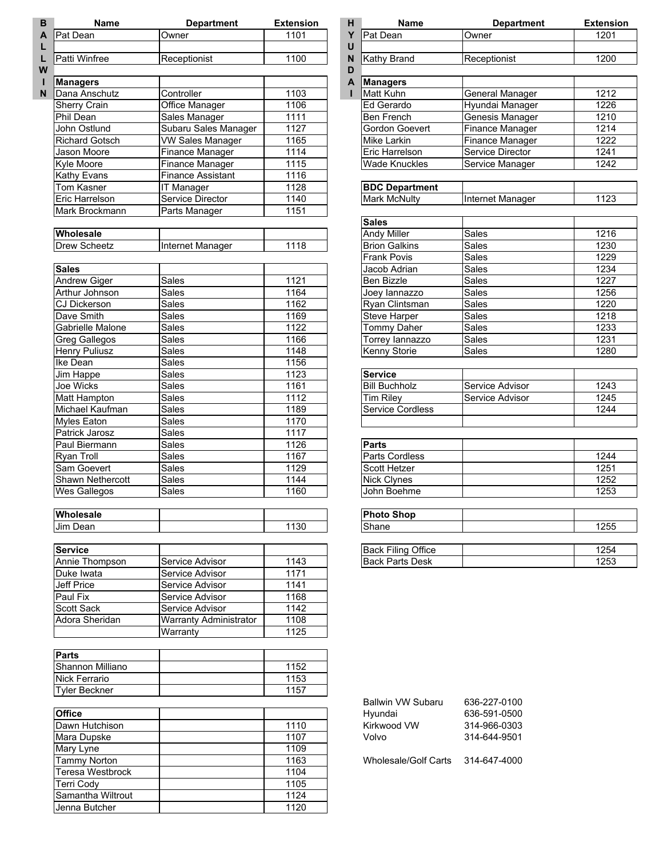| <b>Name</b>                                  | <b>Department</b>             | <b>Extension</b> | н<br>Name                                           | <b>Department</b>                       | <b>Extension</b> |
|----------------------------------------------|-------------------------------|------------------|-----------------------------------------------------|-----------------------------------------|------------------|
| <b>Pat Dean</b>                              | Owner                         | 1101             | Y<br>Pat Dean<br>U                                  | Owner                                   | 1201             |
| Patti Winfree                                | Receptionist                  | 1100             | Kathy Brand<br>N                                    | Receptionist                            |                  |
| <b>Managers</b>                              |                               |                  | D<br>$\mathsf{A}$<br>Managers                       |                                         |                  |
| <b>IDana Anschutz</b>                        | Controller                    | 1103             | <b>Matt Kuhn</b>                                    | <b>General Manager</b>                  |                  |
| <b>Sherry Crain</b>                          | Office Manager                | 1106             | Ed Gerardo                                          | Hyundai Manager                         |                  |
| Phil Dean                                    | Sales Manager                 | 1111             | Ben French                                          | Genesis Manager                         |                  |
| John Ostlund                                 | Subaru Sales Manager          | 1127             | Gordon Goevert                                      | <b>Finance Manager</b>                  |                  |
| <b>Richard Gotsch</b>                        | <b>VW Sales Manager</b>       | 1165             | Mike Larkin                                         | <b>Finance Manager</b>                  |                  |
| <b>Jason Moore</b>                           | Finance Manager               | 1114             | Eric Harrelson                                      | Service Director                        |                  |
| <b>Kyle Moore</b>                            | Finance Manager               | 1115             | <b>Wade Knuckles</b>                                | Service Manager                         |                  |
| Kathy Evans                                  | <b>Finance Assistant</b>      | 1116             |                                                     |                                         |                  |
| <b>Tom Kasner</b>                            | IT Manager                    | 1128             | <b>BDC Department</b>                               |                                         |                  |
| Eric Harrelson                               | Service Director              | 1140             | Mark McNulty                                        | Internet Manager                        |                  |
| Mark Brockmann                               | Parts Manager                 | 1151             |                                                     |                                         |                  |
|                                              |                               |                  | <b>Sales</b>                                        |                                         |                  |
| Wholesale                                    |                               |                  | <b>Andy Miller</b>                                  | $\overline{\overline{\mathsf{Sale}}}$ s | 1216             |
| <b>Drew Scheetz</b>                          | Internet Manager              | 1118             | <b>Brion Galkins</b>                                | <b>Sales</b>                            | 1230             |
|                                              |                               |                  | <b>Frank Povis</b>                                  | Sales                                   |                  |
| <b>Sales</b>                                 |                               |                  | Jacob Adrian                                        | Sales                                   |                  |
| <b>Andrew Giger</b>                          | Sales                         | 1121             | <b>Ben Bizzle</b>                                   | Sales                                   | 1227<br>1256     |
| Arthur Johnson                               | Sales                         | 1164             | Joey lannazzo                                       | <b>Sales</b>                            |                  |
| <b>CJ Dickerson</b>                          | Sales                         | 1162             | Ryan Clintsman                                      | <b>Sales</b>                            | 1220             |
| Dave Smith                                   | Sales                         | 1169             | <b>Steve Harper</b>                                 | Sales                                   |                  |
| Gabrielle Malone                             | Sales                         | 1122             | <b>Tommy Daher</b>                                  | Sales                                   | 1233             |
| <b>Greg Gallegos</b><br><b>Henry Puliusz</b> | Sales<br><b>Sales</b>         | 1166<br>1148     | Torrey lannazzo<br>Kenny Storie                     | Sales<br><b>Sales</b>                   | 1231<br>1280     |
| Ike Dean                                     | <b>Sales</b>                  | 1156             |                                                     |                                         |                  |
| Jim Happe                                    | Sales                         | 1123             | <b>Service</b>                                      |                                         |                  |
| Joe Wicks                                    | Sales                         | 1161             | <b>Bill Buchholz</b>                                | Service Advisor                         | 1243             |
| <b>Matt Hampton</b>                          | Sales                         | 1112             | <b>Tim Riley</b>                                    | Service Advisor                         |                  |
| Michael Kaufman                              | <b>Sales</b>                  | 1189             | <b>Service Cordless</b>                             |                                         |                  |
| <b>Myles Eaton</b>                           | Sales                         | 1170             |                                                     |                                         |                  |
| Patrick Jarosz                               | Sales                         | 1117             |                                                     |                                         |                  |
| Paul Biermann                                | Sales                         | 1126             | <b>Parts</b>                                        |                                         |                  |
| <b>Ryan Troll</b>                            | Sales                         | 1167             | Parts Cordless                                      |                                         |                  |
| Sam Goevert                                  | Sales                         | 1129             | Scott Hetzer                                        |                                         | 1244<br>1251     |
| Shawn Nethercott                             | Sales                         | 1144             | Nick Clynes                                         |                                         |                  |
| Wes Gallegos                                 | <b>Sales</b>                  | 1160             | John Boehme                                         |                                         | 1253             |
| Wholesale                                    |                               |                  | <b>Photo Shop</b>                                   |                                         |                  |
| Jim Dean                                     |                               | 1130             | Shane                                               |                                         | 1255             |
| <b>Service</b>                               |                               |                  |                                                     |                                         |                  |
| Annie Thompson                               | Service Advisor               | 1143             | <b>Back Filing Office</b><br><b>Back Parts Desk</b> |                                         | 1254<br>1253     |
| Duke Iwata                                   | Service Advisor               | 1171             |                                                     |                                         |                  |
| Jeff Price                                   | Service Advisor               | 1141             |                                                     |                                         |                  |
| Paul Fix                                     | Service Advisor               | 1168             |                                                     |                                         |                  |
| Scott Sack                                   | Service Advisor               | 1142             |                                                     |                                         |                  |
| Adora Sheridan                               | <b>Warranty Administrator</b> | 1108             |                                                     |                                         |                  |
|                                              | Warranty                      | 1125             |                                                     |                                         |                  |
| <b>Parts</b>                                 |                               |                  |                                                     |                                         |                  |
| Shannon Milliano                             |                               | 1152             |                                                     |                                         |                  |
| <b>Nick Ferrario</b>                         |                               | 1153             |                                                     |                                         |                  |
| <b>Tyler Beckner</b>                         |                               | 1157             |                                                     |                                         |                  |
|                                              |                               |                  | <b>Ballwin VW Subaru</b>                            | 636-227-0100                            |                  |
| <b>Office</b>                                |                               |                  | Hyundai                                             | 636-591-0500                            |                  |
| Dawn Hutchison                               |                               | 1110             | Kirkwood VW                                         | 314-966-0303                            |                  |
| Mara Dupske                                  |                               | 1107             | Volvo                                               | 314-644-9501                            |                  |
| Mary Lyne                                    |                               | 1109             |                                                     |                                         |                  |
| <b>Tammy Norton</b>                          |                               | 1163             | <b>Wholesale/Golf Carts</b>                         | 314-647-4000                            |                  |
| Teresa Westbrock                             |                               | 1104             |                                                     |                                         |                  |
| <b>Terri Cody</b>                            |                               | 1105             |                                                     |                                         |                  |
| Samantha Wiltrout                            |                               | 1124             |                                                     |                                         |                  |

Jenna Butcher 1120

| <b>Name</b>                     | <b>Department</b>      | <b>Extension</b> |
|---------------------------------|------------------------|------------------|
| Pat Dean                        | Owner                  | 1201             |
|                                 |                        | 1200             |
| Kathy Brand                     | Receptionist           |                  |
|                                 |                        |                  |
| <b>Managers</b><br>Matt Kuhn    |                        | 1212             |
|                                 | <b>General Manager</b> |                  |
| Ed Gerardo<br><b>Ben French</b> | Hyundai Manager        | 1226<br>1210     |
|                                 | Genesis Manager        |                  |
| <b>Gordon Goevert</b>           | Finance Manager        | 1214             |
| Mike Larkin                     | <b>Finance Manager</b> | 1222             |
| Eric Harrelson                  | Service Director       | 1241             |
| Wade Knuckles                   | Service Manager        | 1242             |
| <b>BDC Department</b>           |                        |                  |
| <b>Mark McNulty</b>             | Internet Manager       | 1123             |
|                                 |                        |                  |
| <b>Sales</b>                    |                        |                  |
| <b>Andy Miller</b>              | Sales                  | 1216             |
| <b>Brion Galkins</b>            | Sales                  | 1230             |
| <b>Frank Povis</b>              | Sales                  | 1229             |
| Jacob Adrian                    | Sales                  | 1234             |
| <b>Ben Bizzle</b>               | Sales                  | 1227             |
| Joey lannazzo                   | Sales                  | 1256             |
| Ryan Clintsman                  | Sales                  | 1220             |
| <b>Steve Harper</b>             | Sales                  | 1218             |
| Tommy Daher                     | Sales                  | 1233             |
| Torrey lannazzo                 | Sales                  | 1231             |
| <b>Kenny Storie</b>             | Sales                  | 1280             |
|                                 |                        |                  |
| <b>Service</b>                  |                        |                  |
| <b>Bill Buchholz</b>            | Service Advisor        | 1243             |
| Tim Riley                       | Service Advisor        | 1245             |
| Service Cordless                |                        | 1244             |
|                                 |                        |                  |
| Parts                           |                        |                  |
| <b>Parts Cordless</b>           |                        | 1244             |
| <b>Scott Hetzer</b>             |                        | 1251             |
| <b>Nick Clynes</b>              |                        | 1252             |
| John Boehme                     |                        | 1253             |
|                                 |                        |                  |

| <b>Photo Shop</b>         |      |
|---------------------------|------|
| <b>Shane</b>              | 1255 |
|                           |      |
| <b>Back Filing Office</b> | 1254 |
| <b>Back Parts Desk</b>    | 1253 |

| <b>Ballwin VW Subaru</b> | 636-227-0100 |
|--------------------------|--------------|
| Hyundai                  | 636-591-0500 |
| Kirkwood VW              | 314-966-0303 |
| Volvo                    | 314-644-9501 |
|                          |              |